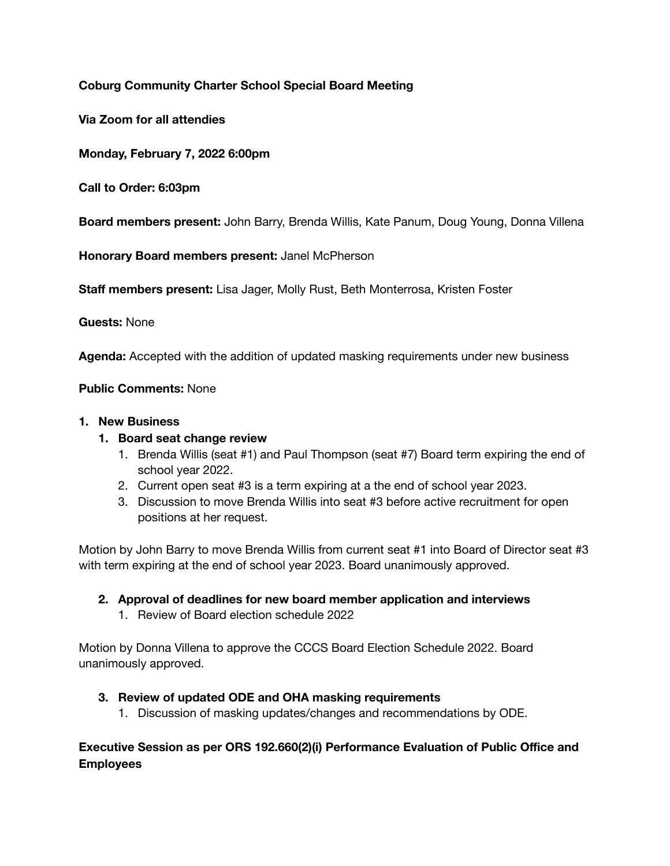# **Coburg Community Charter School Special Board Meeting**

**Via Zoom for all attendies** 

**Monday, February 7, 2022 6:00pm** 

**Call to Order: 6:03pm** 

**Board members present:** John Barry, Brenda Willis, Kate Panum, Doug Young, Donna Villena

**Honorary Board members present:** Janel McPherson

**Staff members present:** Lisa Jager, Molly Rust, Beth Monterrosa, Kristen Foster

**Guests:** None

**Agenda:** Accepted with the addition of updated masking requirements under new business

### **Public Comments:** None

#### **1. New Business**

### **1. Board seat change review**

- 1. Brenda Willis (seat #1) and Paul Thompson (seat #7) Board term expiring the end of school year 2022.
- 2. Current open seat #3 is a term expiring at a the end of school year 2023.
- 3. Discussion to move Brenda Willis into seat #3 before active recruitment for open positions at her request.

Motion by John Barry to move Brenda Willis from current seat #1 into Board of Director seat #3 with term expiring at the end of school year 2023. Board unanimously approved.

### **2. Approval of deadlines for new board member application and interviews**

1. Review of Board election schedule 2022

Motion by Donna Villena to approve the CCCS Board Election Schedule 2022. Board unanimously approved.

### **3. Review of updated ODE and OHA masking requirements**

1. Discussion of masking updates/changes and recommendations by ODE.

## **Executive Session as per ORS 192.660(2)(i) Performance Evaluation of Public Office and Employees**